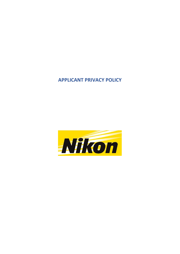APPLICANT PRIVACY POLICY

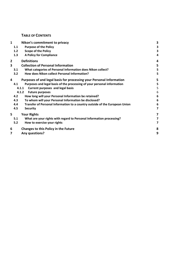# TABLE OF CONTENTS

| $\mathbf{1}$ | Nikon's commitment to privacy                                                      | 3                       |
|--------------|------------------------------------------------------------------------------------|-------------------------|
|              | <b>Purpose of the Policy</b><br>1.1                                                | 3                       |
|              | <b>Scope of the Policy</b><br>1.2                                                  | $\overline{\mathbf{3}}$ |
|              | <b>A Policy for Compliance</b><br>1.3                                              | 4                       |
| 2            | <b>Definitions</b>                                                                 | 4                       |
| 3            | <b>Collection of Personal Information</b>                                          | 5                       |
|              | What categories of Personal Information does Nikon collect?<br>3.1                 | 5                       |
|              | How does Nikon collect Personal Information?<br>3.2                                | 5                       |
| 4            | Purposes of and legal basis for processing your Personal Information               | 5                       |
|              | Purposes and legal basis of the processing of your personal information<br>4.1     | 5                       |
|              | <b>Current purposes and legal basis</b><br>4.1.1                                   | 5                       |
|              | 4.1.2<br><b>Future purposes</b>                                                    | 6                       |
|              | How long will your Personal Information be retained?<br>4.2                        | $6\phantom{1}6$         |
|              | To whom will your Personal Information be disclosed?<br>4.3                        | 6                       |
|              | Transfer of Personal Information to a country outside of the European Union<br>4.4 | 6                       |
|              | 4.5<br><b>Security</b>                                                             | $\overline{\mathbf{z}}$ |
| 5            | <b>Your Rights</b>                                                                 | 7                       |
|              | 5.1<br>What are your rights with regard to Personal Information processing?        | 7                       |
|              | 5.2<br>How to exercise your rights                                                 | 7                       |
| 6            | <b>Changes to this Policy in the Future</b>                                        | 8                       |
| 7            | Any questions?                                                                     | 9                       |
|              |                                                                                    |                         |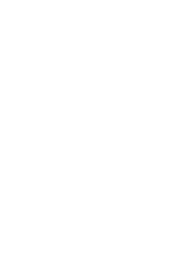$@$  $\overline{\mathbf{V}}$ 

 $\omega$  $\mathbf{V}$  $\omega$  $\overline{V}$ 

 $\cdot h$  $\ddot{\phantom{a}}$  $\cdot$  @

# 4.1.2 Future purposes

 $@$  $\mathbf{V}$  $h$  $\overline{V}$  $\omega$ 

### How long will your Personal Information be retained? 42

 $\epsilon$  $\cdot h$  $@$  $\mathbb{Z}^{\mathbb{Z}}$  $\overline{V}$ 

### To whom will your Personal Information be disdosed? 43

 $\ddot{\phantom{a}}$  $\overline{7}$  $\overline{V}$  $=$  k  $\cdot$  $\mathbf k$  $-$ 

 $^{\circ}$  h  $\cdot$  V  $\mathbf h$  $@$ 

 $\mathbf u$ 

 $\mathbf{u}$  $\omega$ 

### Transfer of Personal Information to a country outside of the European Union 44

 $\overline{\mathbf{V}}$  $\cdot$ h  $\cdot$  @  $\overline{V}$  $\overline{y}$  $\mathbf{o}$ 

 $\boldsymbol{h}$  $@$  $@$ y  $\ddot{\phantom{0}}$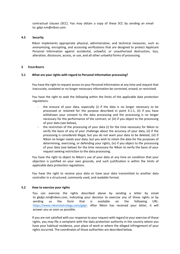contractual clauses (SCC). You may obtain a copy of these SCC by sending an email to: gdpr.nm@nikon.com.

#### 4.5 **Security**

Nikon implements appropriate physical, administrative, and technical measures, such as anonymizing, encrypting, and accessing verifications that are designed to protect Applicant Personal Information against accidental, unlawful, or unauthorized destruction, loss, alteration, disclosure, access, or use, and all other unlawful forms of processing.

### 5 YOUR RIGHTS

### 5.1 What are your rights with regard to Personal Information processing?

You have the right to request access to your Personal Information at any time and request that inaccurate, outdated or no longer necessary information be corrected, erased, or restricted.

You have the right to seek the following within the limits of the applicable data protection regulations:

- the erasure of your data, especially (i) if the data is no longer necessary to be processed or retained for the purpose described in point 4.1.1, (ii) if you have withdrawn your consent to the data processing and the processing is no longer necessary for the performance of the contract, or (iii) if you object to the processing of your data (see below),
- the restriction of the processing of your data (i) for the time necessary for Nikon to verify the basis of any of your challenge about the accuracy of your data, (ii) if the processing is considered illegal, but you do not want your data to be deleted, (iii) if Nikon no longer needs your data, but you wish to retain the data for the purposes of determining, exercising, or defending your rights, (iv) if you object to the processing of your data (see below) for the time necessary for Nikon to verify the basis of your request seeking restriction to the data processing.

You have the right to object to Nikon's use of your data at any time on condition that your objection is justified on your own grounds, and such justification is within the limits of applicable data protection regulations.

You have the right to receive your data or have your data transmitted to another data controller in a structured, commonly used, and readable format.

#### 5.2 How to exercise your rights

You can exercise the rights described above by sending a letter by email to gkdpr.nm@nikon.com, indicating your decision to exercise any of those rights or by sending us the form that is available on the following URL: https://www.nikonmetrology.com/gdpr. After Nikon has received your letter, it will answer you as soon as possible.

If you are not satisfied with our response to your request with regard to your exercise of those rights, you may file a complaint with the data protection authority in the country where you have your habitual residence, your place of work or where the alleged infringement of your rights occurred. The coordinates of those authorities are described below.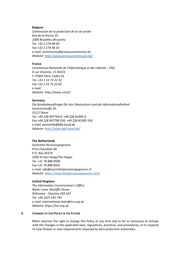### Belgium

Commission de la protection de la vie privée Rue de la Presse 35 1000 Bruxelles (Brussels) Tel. +32 2 274 48 00 Fax +32 2 274 48 10 e-mail: commission@privacycommission.be Website: http://www.privacycommission.be/

## France

Commission Nationale de l'Informatique et des Libertés - CNIL 8 rue Vivienne, CS 30223 F-75002 Paris, Cedex 02 Tel. +33 1 53 73 22 22 Fax +33 1 53 73 22 00 e-mail: Website: http://www.cnil.fr/

### Germany

Die Bundesbeauftragte für den Datenschutz und die Informationsfreiheit Husarenstraße 30 53117 Bonn Tel. +49 228 997799 0; +49 228 81995 0 Fax +49 228 997799 550; +49 228 81995 550 e-mail: poststelle@bfdi.bund.de Website: http://www.bfdi.bund.de/

### The Netherlands

Autoriteit Persoonsgegevens Prins Clauslaan 60 P.O. Box 93374 2509 AJ Den Haag/The Hague Tel. +31 70 888 8500 Fax +31 70 888 8501 e-mail: info@autoriteitpersoonsgegevens.nl Website: https://autoriteitpersoonsgegevens.nl/nl

## United Kingdom

The Information Commissioner's Office Water Lane, Wycliffe House Wilmslow - Cheshire SK9 5AF Tel. +44 1625 545 745 e-mail: international.team@ico.org.uk Website: https://ico.org.uk

## 6 CHANGES TO THIS POLICY IN THE FUTURE

Nikon reserves the right to change this Policy at any time and as far as necessary to comply with the changes in the applicable laws, regulations, practices, and procedures, or to respond to new threats or new requirements imposed by data protection authorities.